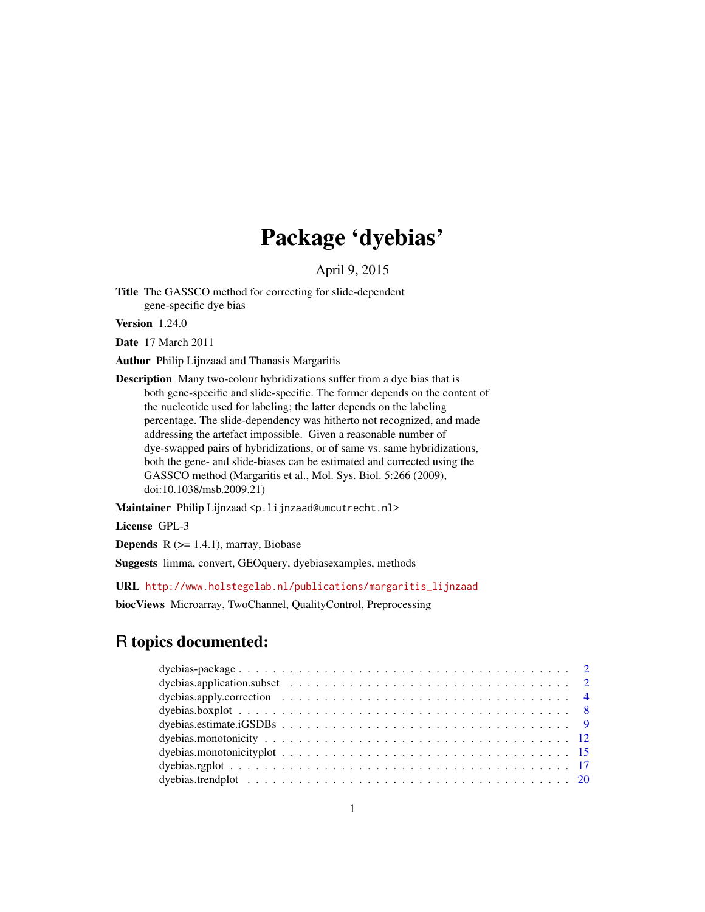# Package 'dyebias'

April 9, 2015

Title The GASSCO method for correcting for slide-dependent gene-specific dye bias

Version 1.24.0

Date 17 March 2011

Author Philip Lijnzaad and Thanasis Margaritis

Description Many two-colour hybridizations suffer from a dye bias that is both gene-specific and slide-specific. The former depends on the content of the nucleotide used for labeling; the latter depends on the labeling percentage. The slide-dependency was hitherto not recognized, and made addressing the artefact impossible. Given a reasonable number of dye-swapped pairs of hybridizations, or of same vs. same hybridizations, both the gene- and slide-biases can be estimated and corrected using the GASSCO method (Margaritis et al., Mol. Sys. Biol. 5:266 (2009), doi:10.1038/msb.2009.21)

Maintainer Philip Lijnzaad <p. lijnzaad@umcutrecht.nl>

License GPL-3

**Depends**  $R$  ( $>= 1.4.1$ ), marray, Biobase

Suggests limma, convert, GEOquery, dyebiasexamples, methods

URL [http://www.holstegelab.nl/publications/margaritis\\_lijnzaad](http://www.holstegelab.nl/publications/margaritis_lijnzaad)

biocViews Microarray, TwoChannel, QualityControl, Preprocessing

# R topics documented: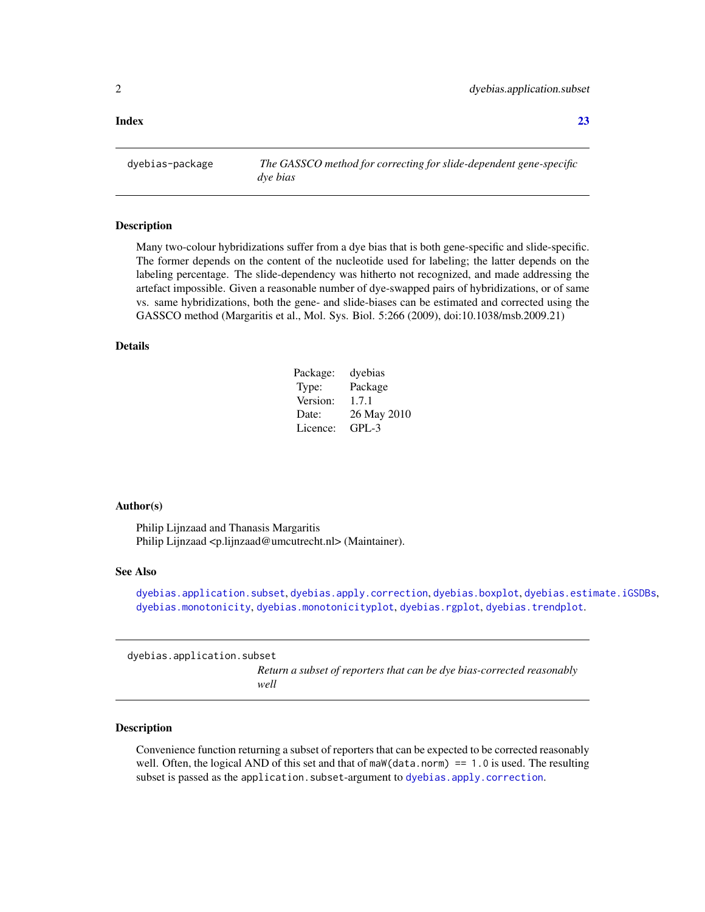<span id="page-1-0"></span>**Index** [23](#page-22-0)

dyebias-package *The GASSCO method for correcting for slide-dependent gene-specific dye bias*

#### Description

Many two-colour hybridizations suffer from a dye bias that is both gene-specific and slide-specific. The former depends on the content of the nucleotide used for labeling; the latter depends on the labeling percentage. The slide-dependency was hitherto not recognized, and made addressing the artefact impossible. Given a reasonable number of dye-swapped pairs of hybridizations, or of same vs. same hybridizations, both the gene- and slide-biases can be estimated and corrected using the GASSCO method (Margaritis et al., Mol. Sys. Biol. 5:266 (2009), doi:10.1038/msb.2009.21)

### Details

| Package: | dyebias     |
|----------|-------------|
| Type:    | Package     |
| Version: | 1.7.1       |
| Date:    | 26 May 2010 |
| Licence: | $GPI - 3$   |

#### Author(s)

Philip Lijnzaad and Thanasis Margaritis Philip Lijnzaad <p.lijnzaad@umcutrecht.nl> (Maintainer).

#### See Also

[dyebias.application.subset](#page-1-1), [dyebias.apply.correction](#page-3-1), [dyebias.boxplot](#page-7-1), [dyebias.estimate.iGSDBs](#page-8-1), [dyebias.monotonicity](#page-11-1), [dyebias.monotonicityplot](#page-14-1), [dyebias.rgplot](#page-16-1), [dyebias.trendplot](#page-19-1).

<span id="page-1-1"></span>dyebias.application.subset

*Return a subset of reporters that can be dye bias-corrected reasonably well*

#### Description

Convenience function returning a subset of reporters that can be expected to be corrected reasonably well. Often, the logical AND of this set and that of maW(data.norm) == 1.0 is used. The resulting subset is passed as the application. subset-argument to dyebias. apply. correction.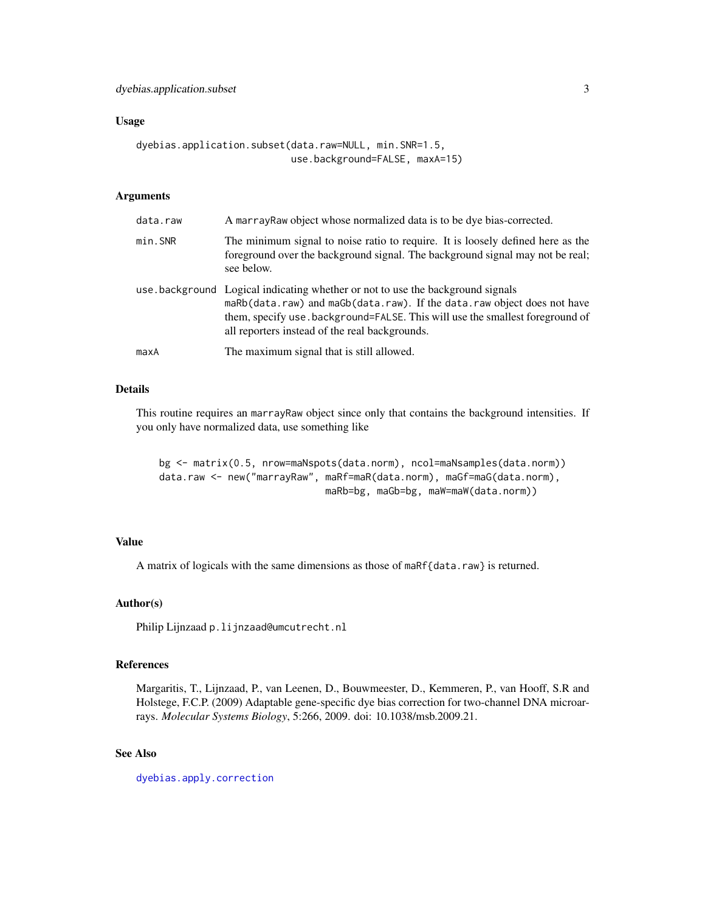#### Usage

```
dyebias.application.subset(data.raw=NULL, min.SNR=1.5,
                           use.background=FALSE, maxA=15)
```
# Arguments

| data.raw | A marray Raw object whose normalized data is to be dye bias-corrected.                                                                                                                                                                                                                        |
|----------|-----------------------------------------------------------------------------------------------------------------------------------------------------------------------------------------------------------------------------------------------------------------------------------------------|
| min. SNR | The minimum signal to noise ratio to require. It is loosely defined here as the<br>foreground over the background signal. The background signal may not be real;<br>see below.                                                                                                                |
|          | use background Logical indicating whether or not to use the background signals<br>maRb(data.raw) and maGb(data.raw). If the data.raw object does not have<br>them, specify use . background=FALSE. This will use the smallest foreground of<br>all reporters instead of the real backgrounds. |
| maxA     | The maximum signal that is still allowed.                                                                                                                                                                                                                                                     |

#### Details

This routine requires an marrayRaw object since only that contains the background intensities. If you only have normalized data, use something like

```
bg <- matrix(0.5, nrow=maNspots(data.norm), ncol=maNsamples(data.norm))
data.raw <- new("marrayRaw", maRf=maR(data.norm), maGf=maG(data.norm),
                             maRb=bg, maGb=bg, maW=maW(data.norm))
```
# Value

A matrix of logicals with the same dimensions as those of maRf{data.raw} is returned.

# Author(s)

Philip Lijnzaad p.lijnzaad@umcutrecht.nl

# References

Margaritis, T., Lijnzaad, P., van Leenen, D., Bouwmeester, D., Kemmeren, P., van Hooff, S.R and Holstege, F.C.P. (2009) Adaptable gene-specific dye bias correction for two-channel DNA microarrays. *Molecular Systems Biology*, 5:266, 2009. doi: 10.1038/msb.2009.21.

# See Also

[dyebias.apply.correction](#page-3-1)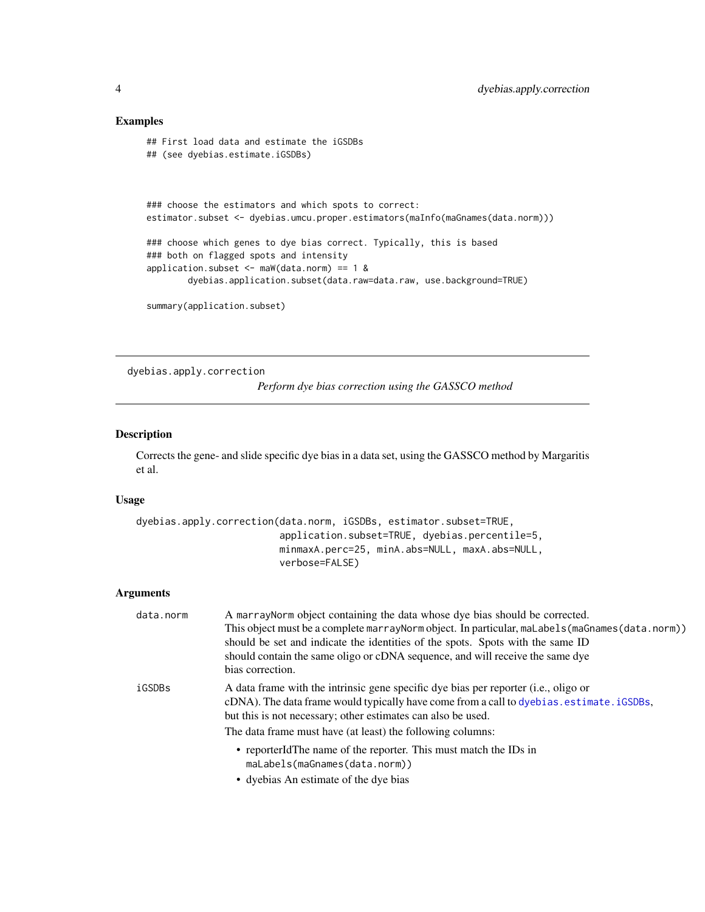# <span id="page-3-0"></span>Examples

```
## First load data and estimate the iGSDBs
## (see dyebias.estimate.iGSDBs)
### choose the estimators and which spots to correct:
estimator.subset <- dyebias.umcu.proper.estimators(maInfo(maGnames(data.norm)))
### choose which genes to dye bias correct. Typically, this is based
### both on flagged spots and intensity
application.subset <- maW(data.norm) == 1 &
       dyebias.application.subset(data.raw=data.raw, use.background=TRUE)
summary(application.subset)
```
<span id="page-3-1"></span>dyebias.apply.correction

*Perform dye bias correction using the GASSCO method*

# Description

Corrects the gene- and slide specific dye bias in a data set, using the GASSCO method by Margaritis et al.

# Usage

```
dyebias.apply.correction(data.norm, iGSDBs, estimator.subset=TRUE,
                         application.subset=TRUE, dyebias.percentile=5,
                         minmaxA.perc=25, minA.abs=NULL, maxA.abs=NULL,
                         verbose=FALSE)
```
# Arguments

| data.norm | A marrayNorm object containing the data whose dye bias should be corrected.<br>This object must be a complete marray Norm object. In particular, malabels (maGnames (data.norm))<br>should be set and indicate the identities of the spots. Spots with the same ID<br>should contain the same oligo or cDNA sequence, and will receive the same dye<br>bias correction. |
|-----------|-------------------------------------------------------------------------------------------------------------------------------------------------------------------------------------------------------------------------------------------------------------------------------------------------------------------------------------------------------------------------|
| iGSDBs    | A data frame with the intrinsic gene specific dye bias per reporter (i.e., oligo or<br>cDNA). The data frame would typically have come from a call to dyebias. estimate. iGSDBs,<br>but this is not necessary; other estimates can also be used.<br>The data frame must have (at least) the following columns:                                                          |
|           | • reporterIdThe name of the reporter. This must match the IDs in<br>maLabels(maGnames(data.norm))<br>$\bullet$ dyching An estimate of the dye bing                                                                                                                                                                                                                      |

• dyebias An estimate of the dye bias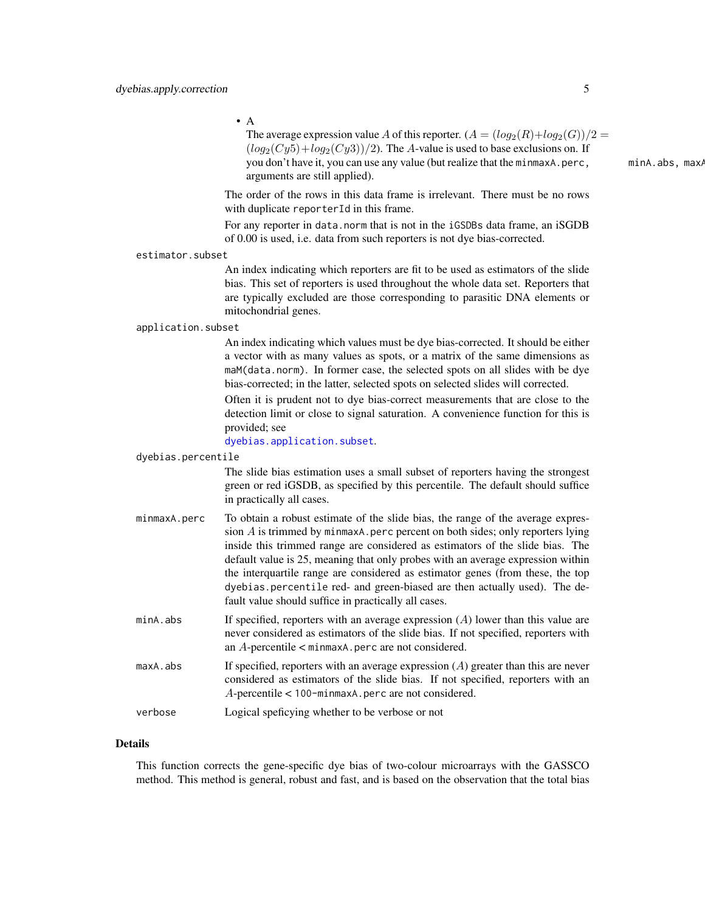$\bullet$  A

The average expression value A of this reporter.  $(A = (log_2(R) + log_2(G))/2 =$  $(log_2(Cy5)+log_2(Cy3))/2$ ). The A-value is used to base exclusions on. If you don't have it, you can use any value (but realize that the minmaxA.perc, minA.abs, maxA arguments are still applied).

The order of the rows in this data frame is irrelevant. There must be no rows with duplicate reporterId in this frame.

For any reporter in data.norm that is not in the iGSDBs data frame, an iSGDB of 0.00 is used, i.e. data from such reporters is not dye bias-corrected.

estimator.subset

An index indicating which reporters are fit to be used as estimators of the slide bias. This set of reporters is used throughout the whole data set. Reporters that are typically excluded are those corresponding to parasitic DNA elements or mitochondrial genes.

#### application.subset

An index indicating which values must be dye bias-corrected. It should be either a vector with as many values as spots, or a matrix of the same dimensions as maM(data.norm). In former case, the selected spots on all slides with be dye bias-corrected; in the latter, selected spots on selected slides will corrected.

Often it is prudent not to dye bias-correct measurements that are close to the detection limit or close to signal saturation. A convenience function for this is provided; see

[dyebias.application.subset](#page-1-1).

#### dyebias.percentile

The slide bias estimation uses a small subset of reporters having the strongest green or red iGSDB, as specified by this percentile. The default should suffice in practically all cases.

- minmaxA.perc To obtain a robust estimate of the slide bias, the range of the average expression  $A$  is trimmed by minmaxA.perc percent on both sides; only reporters lying inside this trimmed range are considered as estimators of the slide bias. The default value is 25, meaning that only probes with an average expression within the interquartile range are considered as estimator genes (from these, the top dyebias.percentile red- and green-biased are then actually used). The default value should suffice in practically all cases.
- $m$ inA.abs If specified, reporters with an average expression  $(A)$  lower than this value are never considered as estimators of the slide bias. If not specified, reporters with an  $A$ -percentile  $\lt$  minmaxA.perc are not considered.
- maxA. abs If specified, reporters with an average expression  $(A)$  greater than this are never considered as estimators of the slide bias. If not specified, reporters with an A-percentile < 100-minmaxA.perc are not considered.

verbose Logical speficying whether to be verbose or not

#### Details

This function corrects the gene-specific dye bias of two-colour microarrays with the GASSCO method. This method is general, robust and fast, and is based on the observation that the total bias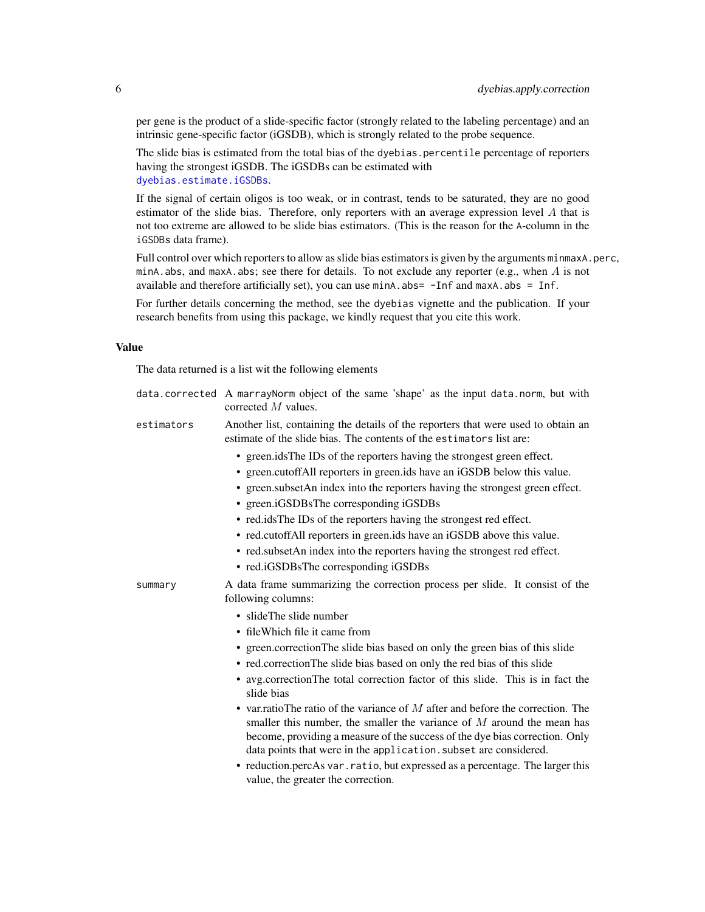per gene is the product of a slide-specific factor (strongly related to the labeling percentage) and an intrinsic gene-specific factor (iGSDB), which is strongly related to the probe sequence.

The slide bias is estimated from the total bias of the dyebias. percentile percentage of reporters having the strongest iGSDB. The iGSDBs can be estimated with [dyebias.estimate.iGSDBs](#page-8-1).

If the signal of certain oligos is too weak, or in contrast, tends to be saturated, they are no good estimator of the slide bias. Therefore, only reporters with an average expression level  $A$  that is not too extreme are allowed to be slide bias estimators. (This is the reason for the A-column in the iGSDBs data frame).

Full control over which reporters to allow as slide bias estimators is given by the arguments minmaxA.perc, minA.abs, and maxA.abs; see there for details. To not exclude any reporter (e.g., when  $\overline{A}$  is not available and therefore artificially set), you can use  $minA$ .  $abs = -Inf$  and  $maxA$ .  $abs = Inf$ .

For further details concerning the method, see the dyebias vignette and the publication. If your research benefits from using this package, we kindly request that you cite this work.

# Value

The data returned is a list wit the following elements

| data.corrected A marrayNorm object of the same 'shape' as the input data.norm, but with |  |
|-----------------------------------------------------------------------------------------|--|
| corrected $M$ values.                                                                   |  |

- estimators Another list, containing the details of the reporters that were used to obtain an estimate of the slide bias. The contents of the estimators list are:
	- green.idsThe IDs of the reporters having the strongest green effect.
	- green.cutoffAll reporters in green.ids have an iGSDB below this value.
	- green.subsetAn index into the reporters having the strongest green effect.
	- green.iGSDBsThe corresponding iGSDBs
	- red.idsThe IDs of the reporters having the strongest red effect.
	- red.cutoffAll reporters in green.ids have an iGSDB above this value.
	- red.subsetAn index into the reporters having the strongest red effect.
	- red.iGSDBsThe corresponding iGSDBs

summary A data frame summarizing the correction process per slide. It consist of the following columns:

- slideThe slide number
- fileWhich file it came from
- green.correctionThe slide bias based on only the green bias of this slide
- red.correctionThe slide bias based on only the red bias of this slide
- avg.correctionThe total correction factor of this slide. This is in fact the slide bias
- var. ratio The ratio of the variance of  $M$  after and before the correction. The smaller this number, the smaller the variance of  $M$  around the mean has become, providing a measure of the success of the dye bias correction. Only data points that were in the application. subset are considered.
- reduction.percAs var.ratio, but expressed as a percentage. The larger this value, the greater the correction.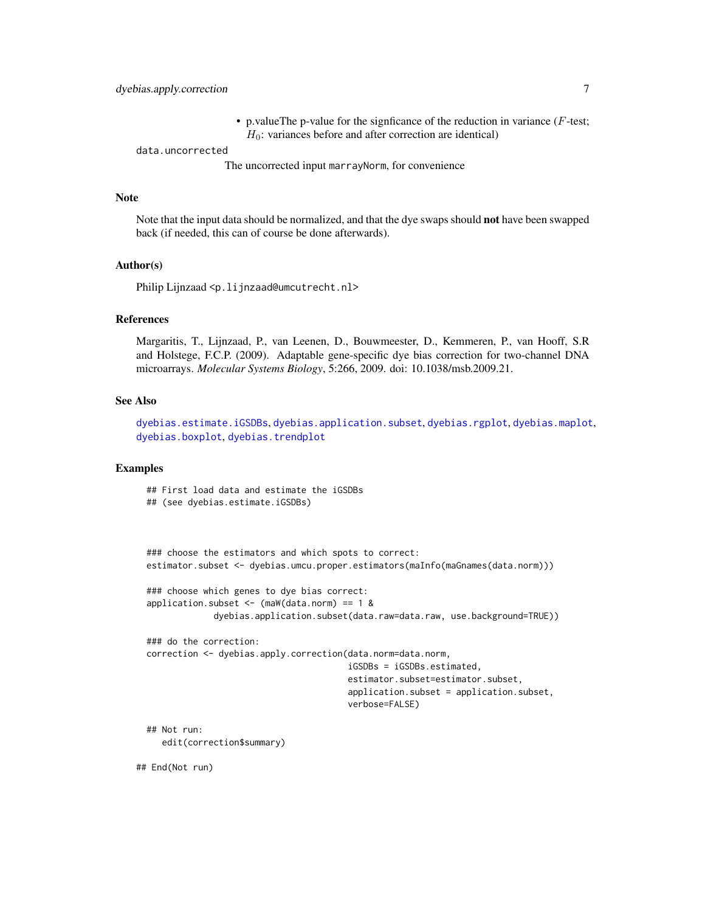• p.valueThe p-value for the signficance of the reduction in variance  $(F$ -test;  $H_0$ : variances before and after correction are identical)

data.uncorrected

The uncorrected input marrayNorm, for convenience

#### Note

Note that the input data should be normalized, and that the dye swaps should not have been swapped back (if needed, this can of course be done afterwards).

#### Author(s)

Philip Lijnzaad <p.lijnzaad@umcutrecht.nl>

#### References

Margaritis, T., Lijnzaad, P., van Leenen, D., Bouwmeester, D., Kemmeren, P., van Hooff, S.R and Holstege, F.C.P. (2009). Adaptable gene-specific dye bias correction for two-channel DNA microarrays. *Molecular Systems Biology*, 5:266, 2009. doi: 10.1038/msb.2009.21.

# See Also

[dyebias.estimate.iGSDBs](#page-8-1), [dyebias.application.subset](#page-1-1), [dyebias.rgplot](#page-16-1), [dyebias.maplot](#page-16-2), [dyebias.boxplot](#page-7-1), [dyebias.trendplot](#page-19-1)

# Examples

```
## First load data and estimate the iGSDBs
## (see dyebias.estimate.iGSDBs)
### choose the estimators and which spots to correct:
estimator.subset <- dyebias.umcu.proper.estimators(maInfo(maGnames(data.norm)))
### choose which genes to dye bias correct:
application.subset \leq (maW(data.norm) == 1 &
             dyebias.application.subset(data.raw=data.raw, use.background=TRUE))
### do the correction:
correction <- dyebias.apply.correction(data.norm=data.norm,
                                       iGSDBs = iGSDBs.estimated,
                                       estimator.subset=estimator.subset,
                                       application.subset = application.subset,
                                       verbose=FALSE)
## Not run:
   edit(correction$summary)
```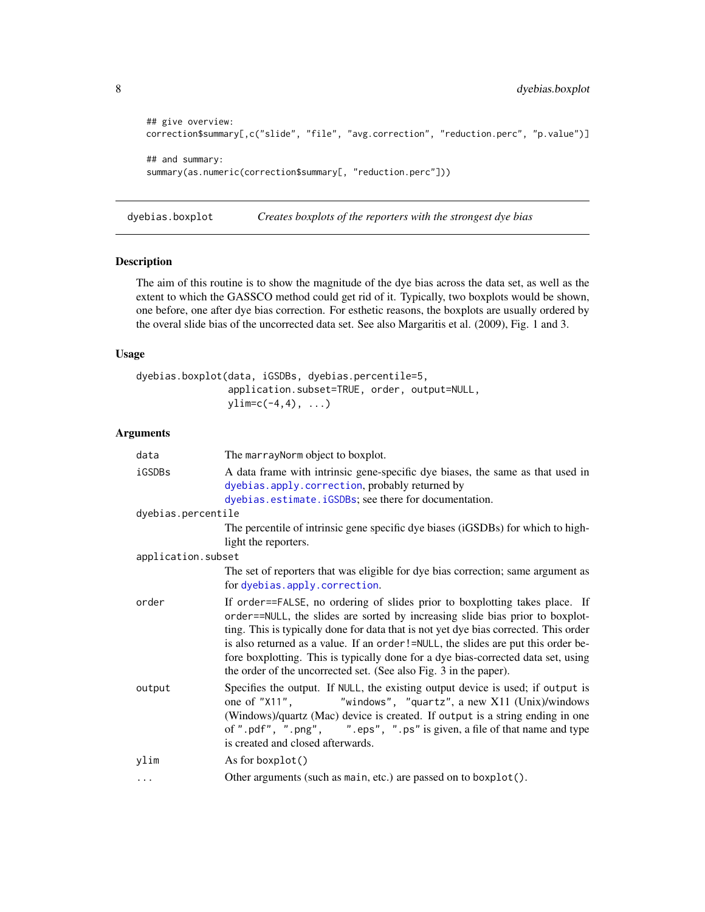```
## give overview:
correction$summary[,c("slide", "file", "avg.correction", "reduction.perc", "p.value")]
## and summary:
summary(as.numeric(correction$summary[, "reduction.perc"]))
```
<span id="page-7-1"></span>dyebias.boxplot *Creates boxplots of the reporters with the strongest dye bias*

# Description

The aim of this routine is to show the magnitude of the dye bias across the data set, as well as the extent to which the GASSCO method could get rid of it. Typically, two boxplots would be shown, one before, one after dye bias correction. For esthetic reasons, the boxplots are usually ordered by the overal slide bias of the uncorrected data set. See also Margaritis et al. (2009), Fig. 1 and 3.

# Usage

```
dyebias.boxplot(data, iGSDBs, dyebias.percentile=5,
               application.subset=TRUE, order, output=NULL,
               ylim=c(-4,4), ...
```
## Arguments

| data               | The marray Norm object to boxplot.                                                                                                                                                                                                                                                                                                                                                                                                                                                                  |
|--------------------|-----------------------------------------------------------------------------------------------------------------------------------------------------------------------------------------------------------------------------------------------------------------------------------------------------------------------------------------------------------------------------------------------------------------------------------------------------------------------------------------------------|
| iGSDBs             | A data frame with intrinsic gene-specific dye biases, the same as that used in<br>dyebias.apply.correction, probably returned by<br>dyebias.estimate.iGSDBs; see there for documentation.                                                                                                                                                                                                                                                                                                           |
| dyebias.percentile |                                                                                                                                                                                                                                                                                                                                                                                                                                                                                                     |
|                    | The percentile of intrinsic gene specific dye biases (iGSDBs) for which to high-<br>light the reporters.                                                                                                                                                                                                                                                                                                                                                                                            |
| application.subset |                                                                                                                                                                                                                                                                                                                                                                                                                                                                                                     |
|                    | The set of reporters that was eligible for dye bias correction; same argument as<br>for dyebias.apply.correction.                                                                                                                                                                                                                                                                                                                                                                                   |
| order              | If order==FALSE, no ordering of slides prior to boxplotting takes place. If<br>order==NULL, the slides are sorted by increasing slide bias prior to boxplot-<br>ting. This is typically done for data that is not yet dye bias corrected. This order<br>is also returned as a value. If an order!=NULL, the slides are put this order be-<br>fore boxplotting. This is typically done for a dye bias-corrected data set, using<br>the order of the uncorrected set. (See also Fig. 3 in the paper). |
| output             | Specifies the output. If NULL, the existing output device is used; if output is<br>"windows", "quartz", a new X11 (Unix)/windows<br>one of "X11",<br>(Windows)/quartz (Mac) device is created. If output is a string ending in one<br>of ".pdf", ".png", ".eps", ".ps" is given, a file of that name and type<br>is created and closed afterwards.                                                                                                                                                  |
| ylim               | As for boxplot()                                                                                                                                                                                                                                                                                                                                                                                                                                                                                    |
| $\cdots$           | Other arguments (such as main, etc.) are passed on to boxplot().                                                                                                                                                                                                                                                                                                                                                                                                                                    |

<span id="page-7-0"></span>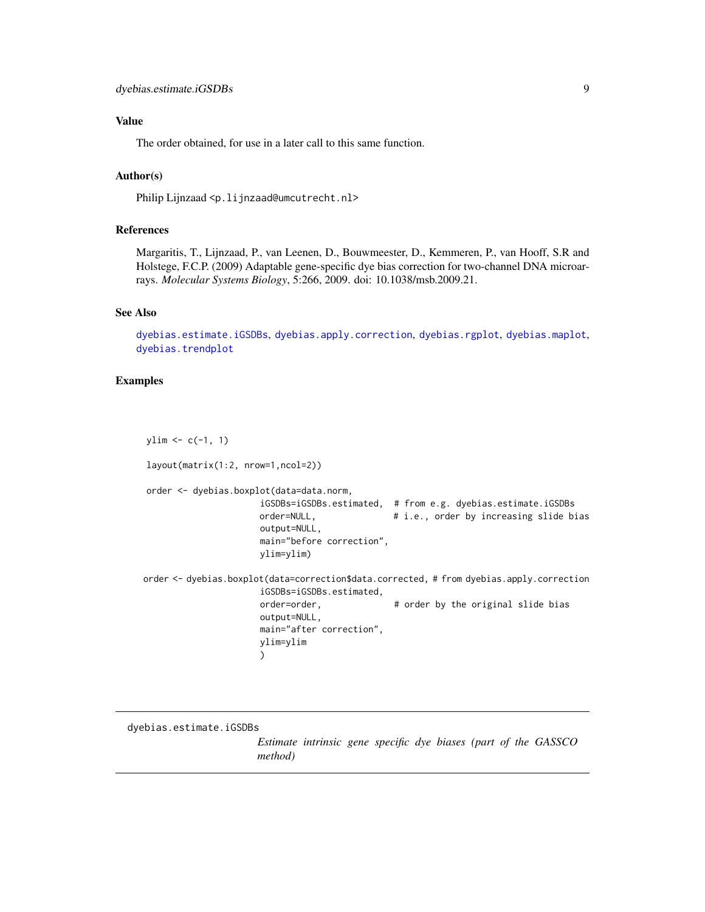# <span id="page-8-0"></span>Value

The order obtained, for use in a later call to this same function.

# Author(s)

Philip Lijnzaad <p. lijnzaad@umcutrecht.nl>

#### References

Margaritis, T., Lijnzaad, P., van Leenen, D., Bouwmeester, D., Kemmeren, P., van Hooff, S.R and Holstege, F.C.P. (2009) Adaptable gene-specific dye bias correction for two-channel DNA microarrays. *Molecular Systems Biology*, 5:266, 2009. doi: 10.1038/msb.2009.21.

#### See Also

[dyebias.estimate.iGSDBs](#page-8-1), [dyebias.apply.correction](#page-3-1), [dyebias.rgplot](#page-16-1), [dyebias.maplot](#page-16-2), [dyebias.trendplot](#page-19-1)

# Examples

 $ylim \leftarrow c(-1, 1)$ layout(matrix(1:2, nrow=1,ncol=2)) order <- dyebias.boxplot(data=data.norm, iGSDBs=iGSDBs.estimated, # from e.g. dyebias.estimate.iGSDBs order=NULL,  $\qquad \qquad # \text{ i.e., order by increasing slide bias}$ output=NULL, main="before correction", ylim=ylim) order <- dyebias.boxplot(data=correction\$data.corrected, # from dyebias.apply.correction iGSDBs=iGSDBs.estimated, order=order,  $\qquad \qquad #$  order by the original slide bias output=NULL, main="after correction", ylim=ylim )

<span id="page-8-1"></span>dyebias.estimate.iGSDBs

*Estimate intrinsic gene specific dye biases (part of the GASSCO method)*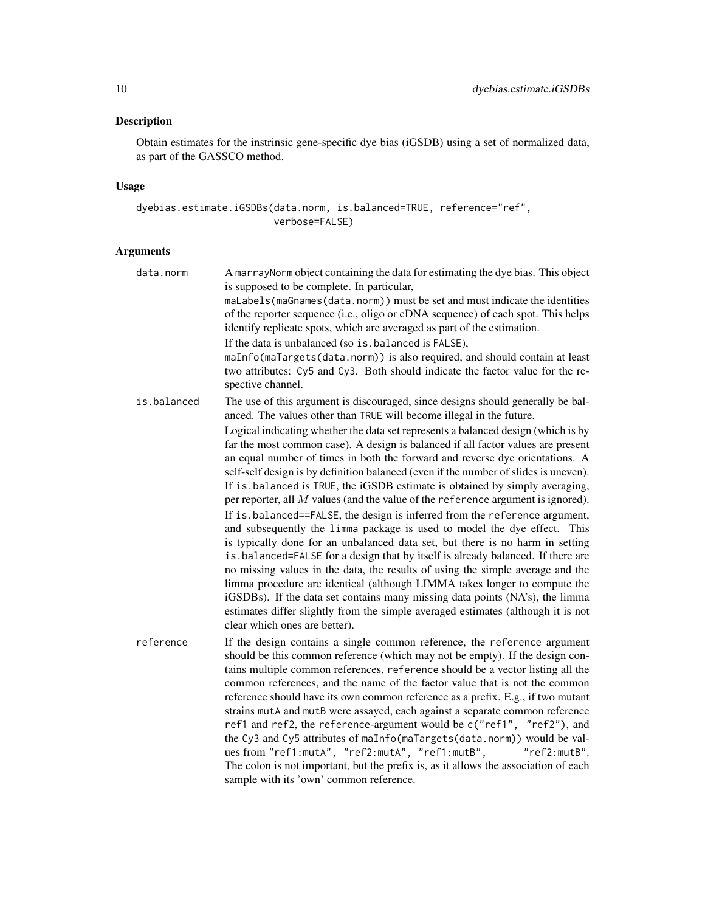# Description

Obtain estimates for the instrinsic gene-specific dye bias (iGSDB) using a set of normalized data, as part of the GASSCO method.

# Usage

dyebias.estimate.iGSDBs(data.norm, is.balanced=TRUE, reference="ref", verbose=FALSE)

# Arguments

| data.norm   | A marray Norm object containing the data for estimating the dye bias. This object<br>is supposed to be complete. In particular,                                                                                                                                                                                                                                                                                                                                                                                                                                                                                                                                                                                                                                                                                                                                                                                                                                                                                                                                                                                                                                                                                        |
|-------------|------------------------------------------------------------------------------------------------------------------------------------------------------------------------------------------------------------------------------------------------------------------------------------------------------------------------------------------------------------------------------------------------------------------------------------------------------------------------------------------------------------------------------------------------------------------------------------------------------------------------------------------------------------------------------------------------------------------------------------------------------------------------------------------------------------------------------------------------------------------------------------------------------------------------------------------------------------------------------------------------------------------------------------------------------------------------------------------------------------------------------------------------------------------------------------------------------------------------|
|             | maLabels(maGnames(data.norm)) must be set and must indicate the identities<br>of the reporter sequence (i.e., oligo or cDNA sequence) of each spot. This helps<br>identify replicate spots, which are averaged as part of the estimation.                                                                                                                                                                                                                                                                                                                                                                                                                                                                                                                                                                                                                                                                                                                                                                                                                                                                                                                                                                              |
|             | If the data is unbalanced (so is. balanced is FALSE),                                                                                                                                                                                                                                                                                                                                                                                                                                                                                                                                                                                                                                                                                                                                                                                                                                                                                                                                                                                                                                                                                                                                                                  |
|             | maInfo(maTargets(data.norm)) is also required, and should contain at least<br>two attributes: Cy5 and Cy3. Both should indicate the factor value for the re-<br>spective channel.                                                                                                                                                                                                                                                                                                                                                                                                                                                                                                                                                                                                                                                                                                                                                                                                                                                                                                                                                                                                                                      |
| is.balanced | The use of this argument is discouraged, since designs should generally be bal-<br>anced. The values other than TRUE will become illegal in the future.                                                                                                                                                                                                                                                                                                                                                                                                                                                                                                                                                                                                                                                                                                                                                                                                                                                                                                                                                                                                                                                                |
|             | Logical indicating whether the data set represents a balanced design (which is by<br>far the most common case). A design is balanced if all factor values are present<br>an equal number of times in both the forward and reverse dye orientations. A<br>self-self design is by definition balanced (even if the number of slides is uneven).<br>If is balanced is TRUE, the iGSDB estimate is obtained by simply averaging,<br>per reporter, all $M$ values (and the value of the reference argument is ignored).<br>If is balanced==FALSE, the design is inferred from the reference argument,<br>and subsequently the limma package is used to model the dye effect. This<br>is typically done for an unbalanced data set, but there is no harm in setting<br>is . balanced=FALSE for a design that by itself is already balanced. If there are<br>no missing values in the data, the results of using the simple average and the<br>limma procedure are identical (although LIMMA takes longer to compute the<br>iGSDBs). If the data set contains many missing data points (NA's), the limma<br>estimates differ slightly from the simple averaged estimates (although it is not<br>clear which ones are better). |
| reference   | If the design contains a single common reference, the reference argument<br>should be this common reference (which may not be empty). If the design con-<br>tains multiple common references, reference should be a vector listing all the<br>common references, and the name of the factor value that is not the common<br>reference should have its own common reference as a prefix. E.g., if two mutant<br>strains mutA and mutB were assayed, each against a separate common reference<br>ref1 and ref2, the reference-argument would be c("ref1", "ref2"), and<br>the Cy3 and Cy5 attributes of maInfo(maTargets(data.norm)) would be val-<br>ues from "ref1:mutA", "ref2:mutA", "ref1:mutB",<br>"ref2:mutB".<br>The colon is not important, but the prefix is, as it allows the association of each                                                                                                                                                                                                                                                                                                                                                                                                             |
|             | sample with its 'own' common reference.                                                                                                                                                                                                                                                                                                                                                                                                                                                                                                                                                                                                                                                                                                                                                                                                                                                                                                                                                                                                                                                                                                                                                                                |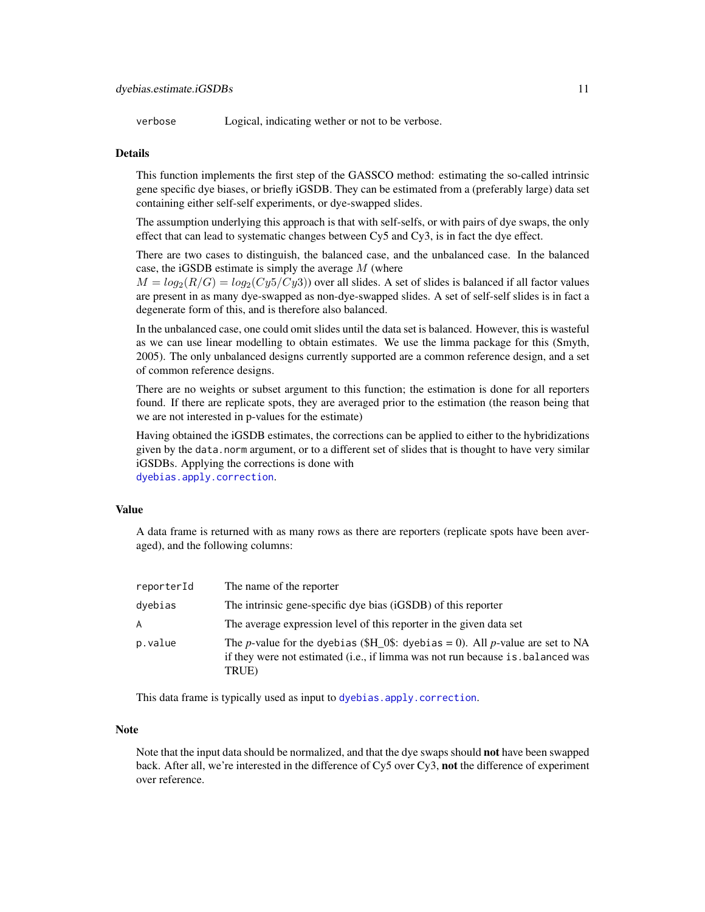verbose Logical, indicating wether or not to be verbose.

### Details

This function implements the first step of the GASSCO method: estimating the so-called intrinsic gene specific dye biases, or briefly iGSDB. They can be estimated from a (preferably large) data set containing either self-self experiments, or dye-swapped slides.

The assumption underlying this approach is that with self-selfs, or with pairs of dye swaps, the only effect that can lead to systematic changes between Cy5 and Cy3, is in fact the dye effect.

There are two cases to distinguish, the balanced case, and the unbalanced case. In the balanced case, the iGSDB estimate is simply the average  $M$  (where

 $M = log_2(R/G) = log_2(Cy5/Cy3)$  over all slides. A set of slides is balanced if all factor values are present in as many dye-swapped as non-dye-swapped slides. A set of self-self slides is in fact a degenerate form of this, and is therefore also balanced.

In the unbalanced case, one could omit slides until the data set is balanced. However, this is wasteful as we can use linear modelling to obtain estimates. We use the limma package for this (Smyth, 2005). The only unbalanced designs currently supported are a common reference design, and a set of common reference designs.

There are no weights or subset argument to this function; the estimation is done for all reporters found. If there are replicate spots, they are averaged prior to the estimation (the reason being that we are not interested in p-values for the estimate)

Having obtained the iGSDB estimates, the corrections can be applied to either to the hybridizations given by the data.norm argument, or to a different set of slides that is thought to have very similar iGSDBs. Applying the corrections is done with [dyebias.apply.correction](#page-3-1).

#### Value

A data frame is returned with as many rows as there are reporters (replicate spots have been averaged), and the following columns:

| reporterId | The name of the reporter                                                                                                                                                                 |
|------------|------------------------------------------------------------------------------------------------------------------------------------------------------------------------------------------|
| dyebias    | The intrinsic gene-specific dye bias (iGSDB) of this reporter                                                                                                                            |
| A          | The average expression level of this reporter in the given data set                                                                                                                      |
| p.value    | The <i>p</i> -value for the dyebias (\$H_0\$: dyebias = 0). All <i>p</i> -value are set to NA<br>if they were not estimated (i.e., if limma was not run because is balanced was<br>TRUE) |

This data frame is typically used as input to [dyebias.apply.correction](#page-3-1).

#### **Note**

Note that the input data should be normalized, and that the dye swaps should not have been swapped back. After all, we're interested in the difference of Cy5 over Cy3, not the difference of experiment over reference.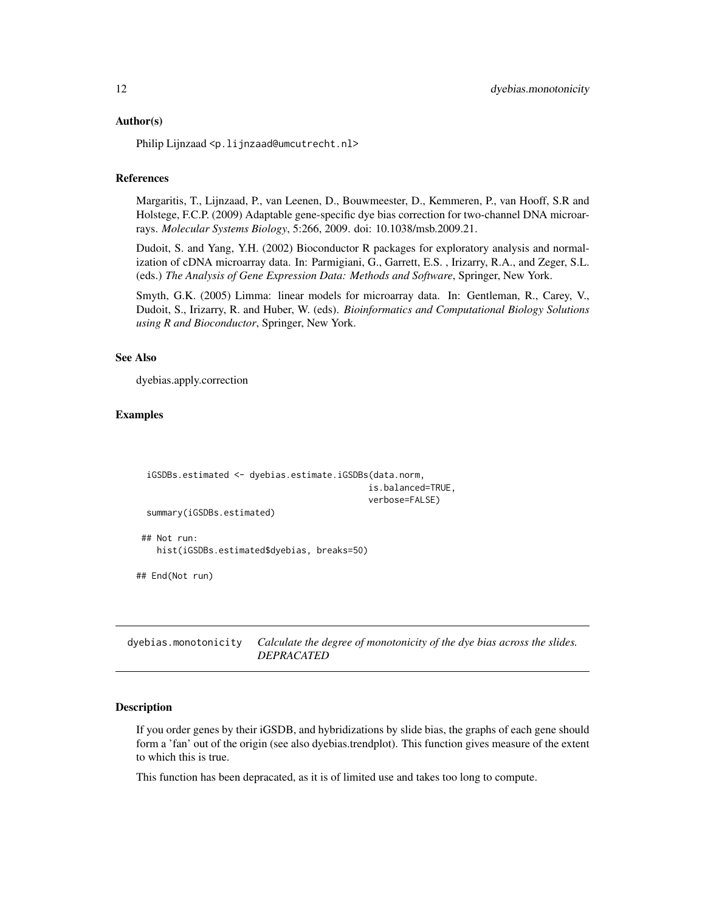#### <span id="page-11-0"></span>Author(s)

Philip Lijnzaad <p.lijnzaad@umcutrecht.nl>

### References

Margaritis, T., Lijnzaad, P., van Leenen, D., Bouwmeester, D., Kemmeren, P., van Hooff, S.R and Holstege, F.C.P. (2009) Adaptable gene-specific dye bias correction for two-channel DNA microarrays. *Molecular Systems Biology*, 5:266, 2009. doi: 10.1038/msb.2009.21.

Dudoit, S. and Yang, Y.H. (2002) Bioconductor R packages for exploratory analysis and normalization of cDNA microarray data. In: Parmigiani, G., Garrett, E.S. , Irizarry, R.A., and Zeger, S.L. (eds.) *The Analysis of Gene Expression Data: Methods and Software*, Springer, New York.

Smyth, G.K. (2005) Limma: linear models for microarray data. In: Gentleman, R., Carey, V., Dudoit, S., Irizarry, R. and Huber, W. (eds). *Bioinformatics and Computational Biology Solutions using R and Bioconductor*, Springer, New York.

#### See Also

dyebias.apply.correction

# Examples

```
iGSDBs.estimated <- dyebias.estimate.iGSDBs(data.norm,
                                             is.balanced=TRUE,
                                             verbose=FALSE)
 summary(iGSDBs.estimated)
## Not run:
   hist(iGSDBs.estimated$dyebias, breaks=50)
## End(Not run)
```
<span id="page-11-1"></span>dyebias.monotonicity *Calculate the degree of monotonicity of the dye bias across the slides. DEPRACATED*

# **Description**

If you order genes by their iGSDB, and hybridizations by slide bias, the graphs of each gene should form a 'fan' out of the origin (see also dyebias.trendplot). This function gives measure of the extent to which this is true.

This function has been depracated, as it is of limited use and takes too long to compute.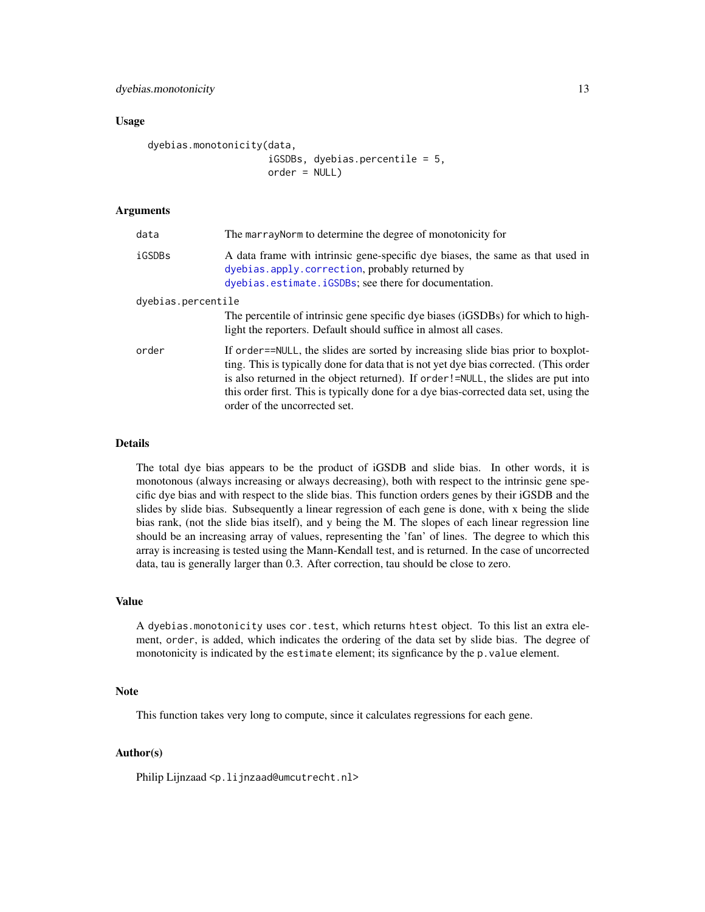dyebias.monotonicity 13

#### Usage

```
dyebias.monotonicity(data,
                     iGSDBs, dyebias.percentile = 5,
                     order = NULL)
```
# Arguments

| data               | The marray Norm to determine the degree of monotonicity for                                                                                                                                                                                                                                                                                                                              |
|--------------------|------------------------------------------------------------------------------------------------------------------------------------------------------------------------------------------------------------------------------------------------------------------------------------------------------------------------------------------------------------------------------------------|
| iGSDBs             | A data frame with intrinsic gene-specific dye biases, the same as that used in<br>dyebias.apply.correction, probably returned by<br>dyebias.estimate.iGSDBs; see there for documentation.                                                                                                                                                                                                |
| dyebias.percentile | The percentile of intrinsic gene specific dye biases (iGSDBs) for which to high-<br>light the reporters. Default should suffice in almost all cases.                                                                                                                                                                                                                                     |
| order              | If order==NULL, the slides are sorted by increasing slide bias prior to boxplot-<br>ting. This is typically done for data that is not yet dye bias corrected. (This order<br>is also returned in the object returned). If order!=NULL, the slides are put into<br>this order first. This is typically done for a dye bias-corrected data set, using the<br>order of the uncorrected set. |

#### Details

The total dye bias appears to be the product of iGSDB and slide bias. In other words, it is monotonous (always increasing or always decreasing), both with respect to the intrinsic gene specific dye bias and with respect to the slide bias. This function orders genes by their iGSDB and the slides by slide bias. Subsequently a linear regression of each gene is done, with x being the slide bias rank, (not the slide bias itself), and y being the M. The slopes of each linear regression line should be an increasing array of values, representing the 'fan' of lines. The degree to which this array is increasing is tested using the Mann-Kendall test, and is returned. In the case of uncorrected data, tau is generally larger than 0.3. After correction, tau should be close to zero.

#### Value

A dyebias.monotonicity uses cor.test, which returns htest object. To this list an extra element, order, is added, which indicates the ordering of the data set by slide bias. The degree of monotonicity is indicated by the estimate element; its signficance by the p.value element.

# Note

This function takes very long to compute, since it calculates regressions for each gene.

# Author(s)

Philip Lijnzaad <p.lijnzaad@umcutrecht.nl>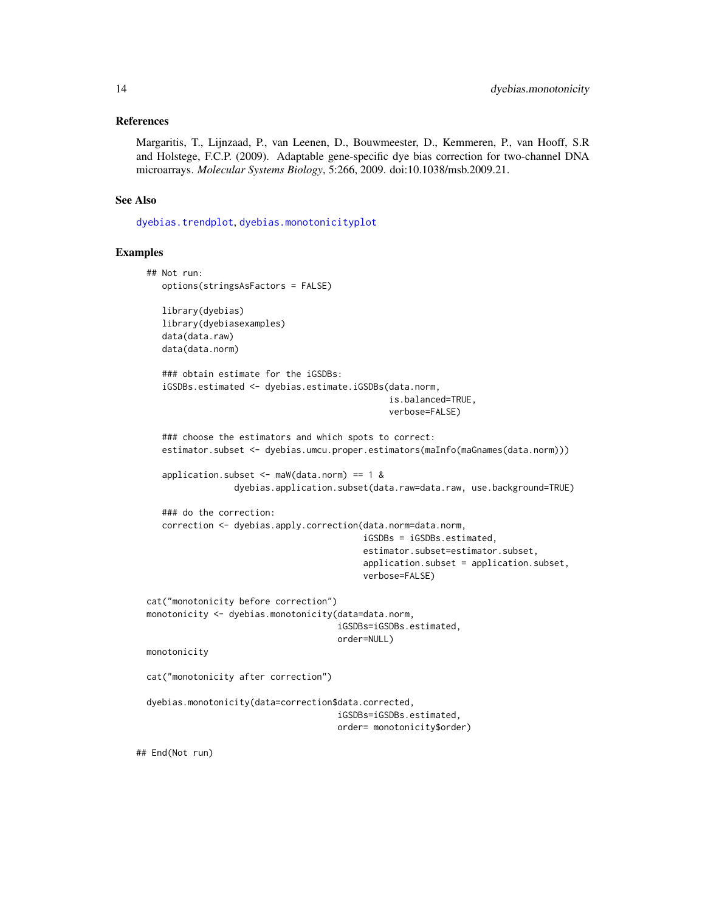# References

Margaritis, T., Lijnzaad, P., van Leenen, D., Bouwmeester, D., Kemmeren, P., van Hooff, S.R and Holstege, F.C.P. (2009). Adaptable gene-specific dye bias correction for two-channel DNA microarrays. *Molecular Systems Biology*, 5:266, 2009. doi:10.1038/msb.2009.21.

#### See Also

[dyebias.trendplot](#page-19-1), [dyebias.monotonicityplot](#page-14-1)

# Examples

```
## Not run:
   options(stringsAsFactors = FALSE)
   library(dyebias)
   library(dyebiasexamples)
   data(data.raw)
   data(data.norm)
   ### obtain estimate for the iGSDBs:
   iGSDBs.estimated <- dyebias.estimate.iGSDBs(data.norm,
                                                is.balanced=TRUE,
                                                verbose=FALSE)
   ### choose the estimators and which spots to correct:
   estimator.subset <- dyebias.umcu.proper.estimators(maInfo(maGnames(data.norm)))
   application.subset \leq maW(data.norm) == 1 &
                 dyebias.application.subset(data.raw=data.raw, use.background=TRUE)
   ### do the correction:
   correction <- dyebias.apply.correction(data.norm=data.norm,
                                          iGSDBs = iGSDBs.estimated,
                                          estimator.subset=estimator.subset,
                                          application.subset = application.subset,
                                          verbose=FALSE)
cat("monotonicity before correction")
monotonicity <- dyebias.monotonicity(data=data.norm,
                                     iGSDBs=iGSDBs.estimated,
                                     order=NULL)
monotonicity
cat("monotonicity after correction")
dyebias.monotonicity(data=correction$data.corrected,
                                     iGSDBs=iGSDBs.estimated,
                                     order= monotonicity$order)
```
## End(Not run)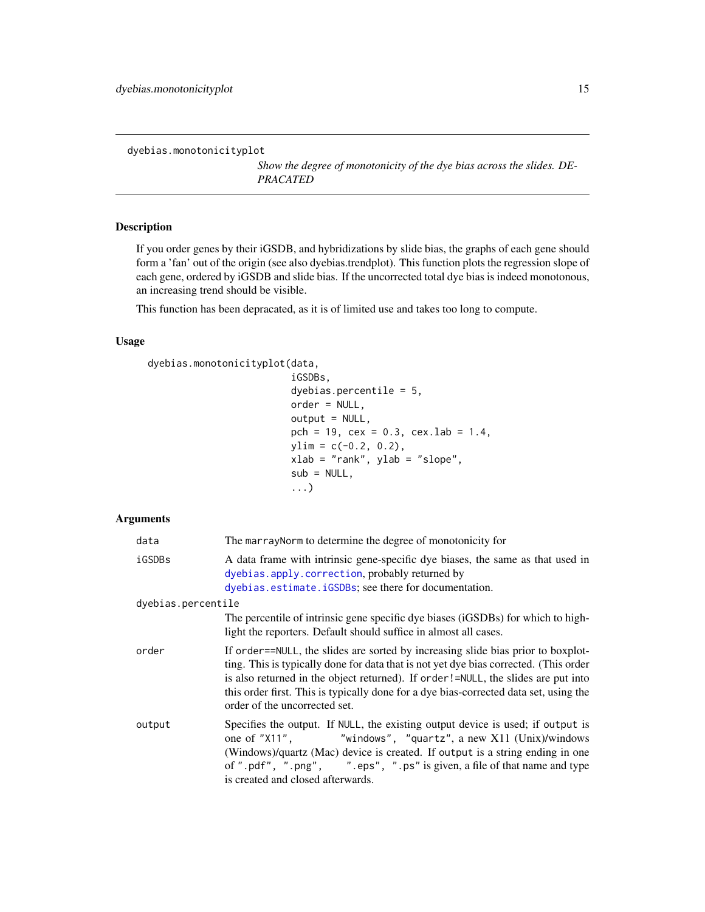<span id="page-14-1"></span><span id="page-14-0"></span>dyebias.monotonicityplot

*Show the degree of monotonicity of the dye bias across the slides. DE-PRACATED*

# Description

If you order genes by their iGSDB, and hybridizations by slide bias, the graphs of each gene should form a 'fan' out of the origin (see also dyebias.trendplot). This function plots the regression slope of each gene, ordered by iGSDB and slide bias. If the uncorrected total dye bias is indeed monotonous, an increasing trend should be visible.

This function has been depracated, as it is of limited use and takes too long to compute.

# Usage

```
dyebias.monotonicityplot(data,
```

```
iGSDBs,
dyebias.percentile = 5,
order = NULL,
output = NULL,pch = 19, cex = 0.3, cexu. lab = 1.4,
ylim = c(-0.2, 0.2),
xlab = "rank", ylab = "slope",
sub = NULL,...)
```
# Arguments

| data               | The marray Norm to determine the degree of monotonicity for                                                                                                                                                                                                                                                                                                                              |
|--------------------|------------------------------------------------------------------------------------------------------------------------------------------------------------------------------------------------------------------------------------------------------------------------------------------------------------------------------------------------------------------------------------------|
| iGSDBs             | A data frame with intrinsic gene-specific dye biases, the same as that used in<br>dyebias.apply.correction, probably returned by<br>dyebias.estimate.iGSDBs; see there for documentation.                                                                                                                                                                                                |
| dyebias.percentile |                                                                                                                                                                                                                                                                                                                                                                                          |
|                    | The percentile of intrinsic gene specific dye biases (iGSDBs) for which to high-<br>light the reporters. Default should suffice in almost all cases.                                                                                                                                                                                                                                     |
| order              | If order==NULL, the slides are sorted by increasing slide bias prior to boxplot-<br>ting. This is typically done for data that is not yet dye bias corrected. (This order<br>is also returned in the object returned). If order!=NULL, the slides are put into<br>this order first. This is typically done for a dye bias-corrected data set, using the<br>order of the uncorrected set. |
| output             | Specifies the output. If NULL, the existing output device is used; if output is<br>one of "X11", "windows", "quartz", a new X11 (Unix)/windows<br>(Windows)/quartz (Mac) device is created. If output is a string ending in one<br>of ".pdf", ".png", ".eps", ".ps" is given, a file of that name and type<br>is created and closed afterwards.                                          |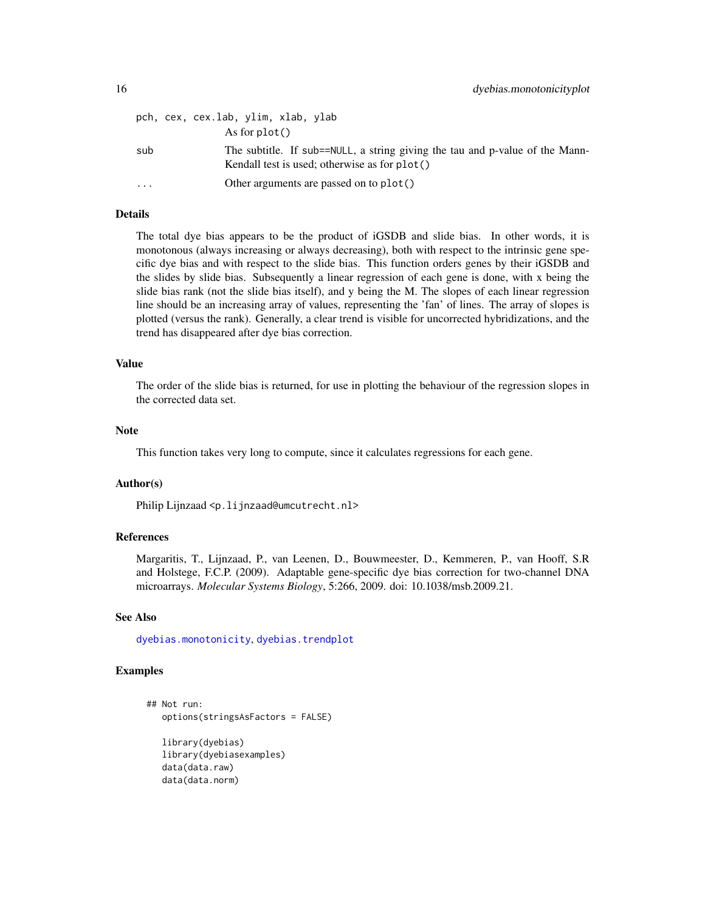|                         | pch, cex, cex.lab, ylim, xlab, ylab                                                                                           |
|-------------------------|-------------------------------------------------------------------------------------------------------------------------------|
|                         | As for $plot()$                                                                                                               |
| sub                     | The subtitle. If sub==NULL, a string giving the tau and p-value of the Mann-<br>Kendall test is used; otherwise as for plot() |
| $\cdot$ $\cdot$ $\cdot$ | Other arguments are passed on to plot()                                                                                       |

# Details

The total dye bias appears to be the product of iGSDB and slide bias. In other words, it is monotonous (always increasing or always decreasing), both with respect to the intrinsic gene specific dye bias and with respect to the slide bias. This function orders genes by their iGSDB and the slides by slide bias. Subsequently a linear regression of each gene is done, with x being the slide bias rank (not the slide bias itself), and y being the M. The slopes of each linear regression line should be an increasing array of values, representing the 'fan' of lines. The array of slopes is plotted (versus the rank). Generally, a clear trend is visible for uncorrected hybridizations, and the trend has disappeared after dye bias correction.

#### Value

The order of the slide bias is returned, for use in plotting the behaviour of the regression slopes in the corrected data set.

#### Note

This function takes very long to compute, since it calculates regressions for each gene.

#### Author(s)

Philip Lijnzaad <p.lijnzaad@umcutrecht.nl>

# References

Margaritis, T., Lijnzaad, P., van Leenen, D., Bouwmeester, D., Kemmeren, P., van Hooff, S.R and Holstege, F.C.P. (2009). Adaptable gene-specific dye bias correction for two-channel DNA microarrays. *Molecular Systems Biology*, 5:266, 2009. doi: 10.1038/msb.2009.21.

#### See Also

[dyebias.monotonicity](#page-11-1), [dyebias.trendplot](#page-19-1)

# Examples

```
## Not run:
   options(stringsAsFactors = FALSE)
   library(dyebias)
   library(dyebiasexamples)
   data(data.raw)
   data(data.norm)
```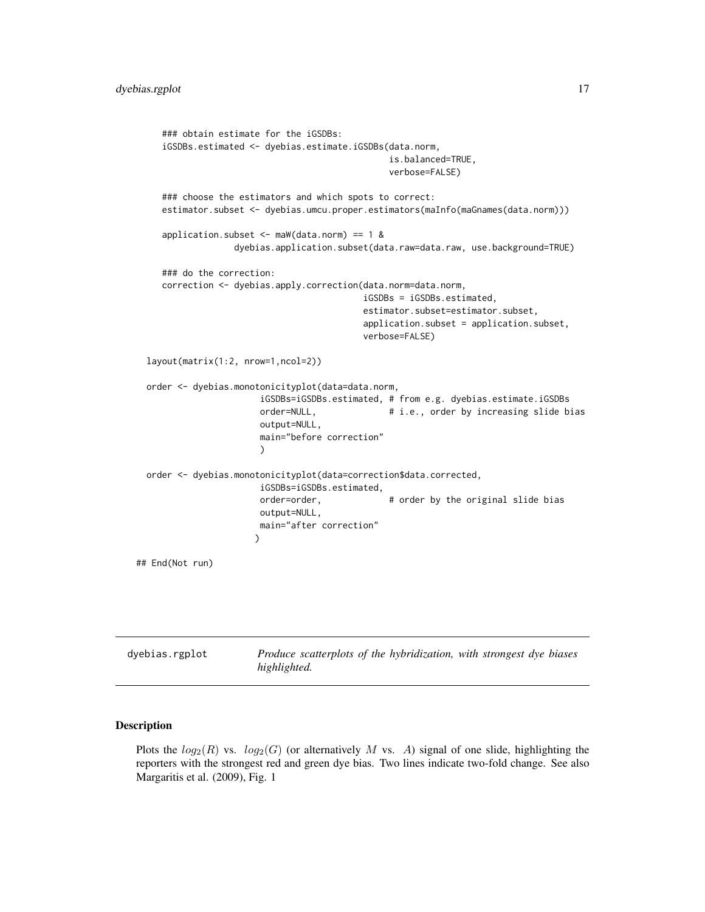```
### obtain estimate for the iGSDBs:
    iGSDBs.estimated <- dyebias.estimate.iGSDBs(data.norm,
                                                 is.balanced=TRUE,
                                                 verbose=FALSE)
     ### choose the estimators and which spots to correct:
    estimator.subset <- dyebias.umcu.proper.estimators(maInfo(maGnames(data.norm)))
    application.subset \leq maW(data.norm) == 1 &
                   dyebias.application.subset(data.raw=data.raw, use.background=TRUE)
     ### do the correction:
    correction <- dyebias.apply.correction(data.norm=data.norm,
                                            iGSDBs = iGSDBs.estimated,
                                            estimator.subset=estimator.subset,
                                            application.subset = application.subset,
                                            verbose=FALSE)
 layout(matrix(1:2, nrow=1,ncol=2))
 order <- dyebias.monotonicityplot(data=data.norm,
                        iGSDBs=iGSDBs.estimated, # from e.g. dyebias.estimate.iGSDBs
                        order=NULL, \qquad \qquad # i.e., order by increasing slide biasoutput=NULL,
                        main="before correction"
                        )
 order <- dyebias.monotonicityplot(data=correction$data.corrected,
                        iGSDBs=iGSDBs.estimated,
                        order=order, \qquad \qquad # order by the original slide bias
                        output=NULL,
                        main="after correction"
                       )
## End(Not run)
```
#### <span id="page-16-2"></span>**Description**

Plots the  $log_2(R)$  vs.  $log_2(G)$  (or alternatively M vs. A) signal of one slide, highlighting the reporters with the strongest red and green dye bias. Two lines indicate two-fold change. See also Margaritis et al. (2009), Fig. 1

<span id="page-16-1"></span>dyebias.rgplot *Produce scatterplots of the hybridization, with strongest dye biases*

*highlighted.*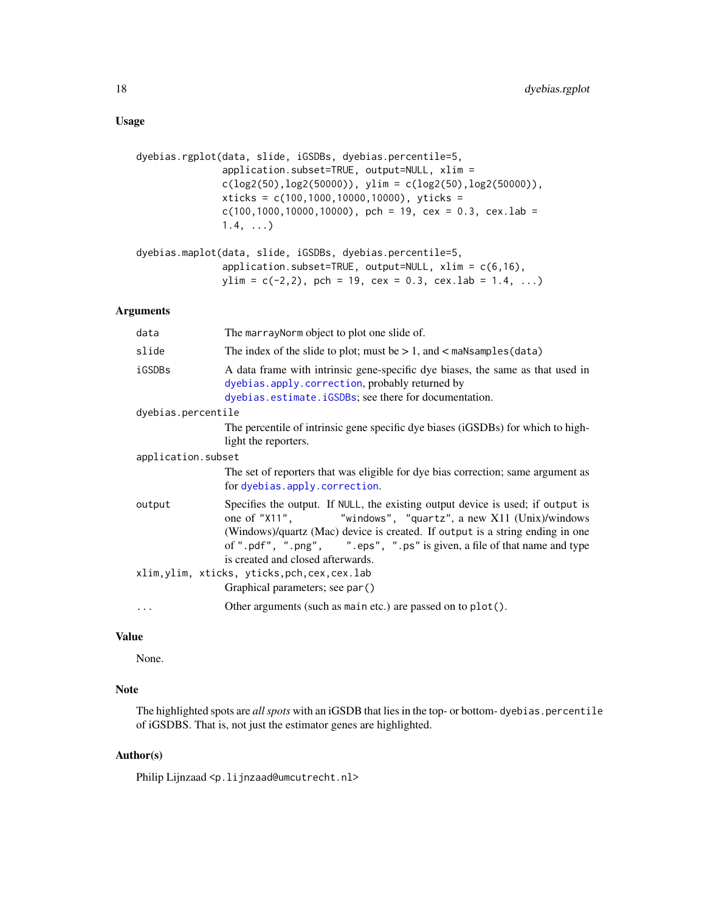```
dyebias.rgplot(data, slide, iGSDBs, dyebias.percentile=5,
               application.subset=TRUE, output=NULL, xlim =
               c(log2(50), log2(50000)), ylim = c(log2(50), log2(50000)),
               xticks = c(100,1000,10000,10000), yticks =
               c(100, 1000, 10000, 10000), pch = 19, cex = 0.3, cex.lab =
               1.4, ...dyebias.maplot(data, slide, iGSDBs, dyebias.percentile=5,
```

```
application.subset=TRUE, output=NULL, xlim = c(6,16),
ylim = c(-2,2), pch = 19, cex = 0.3, cex.lab = 1.4, ...)
```
# Arguments

| data               | The marray Norm object to plot one slide of.                                                                                                                                                                                                                                                                                                    |
|--------------------|-------------------------------------------------------------------------------------------------------------------------------------------------------------------------------------------------------------------------------------------------------------------------------------------------------------------------------------------------|
| slide              | The index of the slide to plot; must be $> 1$ , and $<$ maNsamples (data)                                                                                                                                                                                                                                                                       |
| iGSDBs             | A data frame with intrinsic gene-specific dye biases, the same as that used in<br>dyebias.apply.correction, probably returned by<br>dyebias.estimate.iGSDBs; see there for documentation.                                                                                                                                                       |
| dyebias.percentile |                                                                                                                                                                                                                                                                                                                                                 |
|                    | The percentile of intrinsic gene specific dye biases (iGSDBs) for which to high-<br>light the reporters.                                                                                                                                                                                                                                        |
| application.subset |                                                                                                                                                                                                                                                                                                                                                 |
|                    | The set of reporters that was eligible for dye bias correction; same argument as<br>for dyebias.apply.correction.                                                                                                                                                                                                                               |
| output             | Specifies the output. If NULL, the existing output device is used; if output is<br>one of "X11", "windows", "quartz", a new X11 (Unix)/windows<br>(Windows)/quartz (Mac) device is created. If output is a string ending in one<br>of ".pdf", ".png", ".eps", ".ps" is given, a file of that name and type<br>is created and closed afterwards. |
|                    | xlim, ylim, xticks, yticks, pch, cex, cex.lab                                                                                                                                                                                                                                                                                                   |
|                    | Graphical parameters; see par()                                                                                                                                                                                                                                                                                                                 |
| $\cdots$           | Other arguments (such as main etc.) are passed on to plot().                                                                                                                                                                                                                                                                                    |

# Value

None.

# Note

The highlighted spots are *all spots* with an iGSDB that lies in the top- or bottom- dyebias.percentile of iGSDBS. That is, not just the estimator genes are highlighted.

# Author(s)

Philip Lijnzaad <p.lijnzaad@umcutrecht.nl>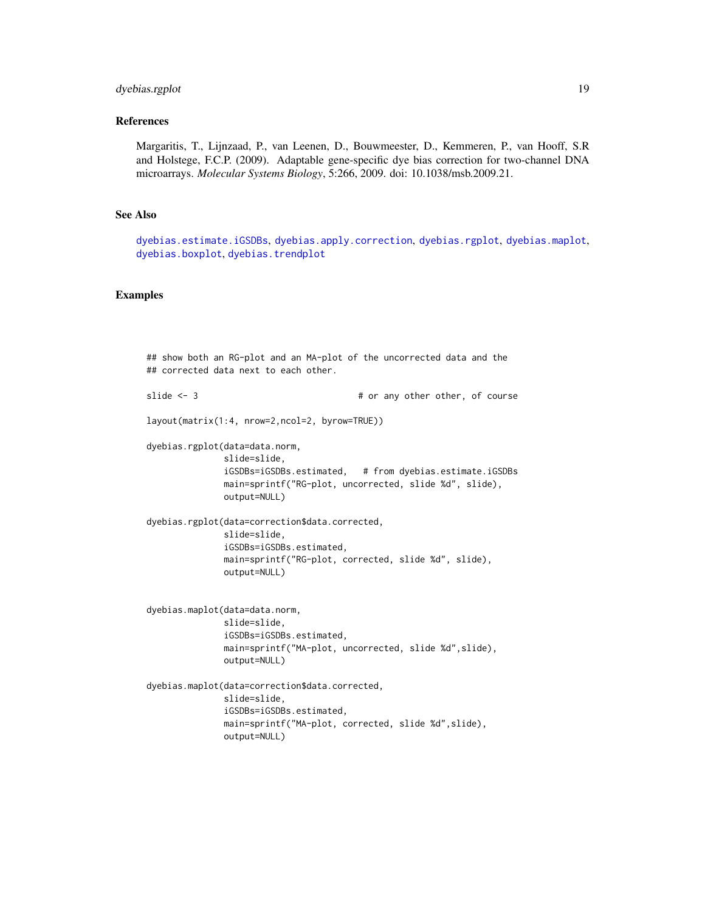# dyebias.rgplot 19

#### References

Margaritis, T., Lijnzaad, P., van Leenen, D., Bouwmeester, D., Kemmeren, P., van Hooff, S.R and Holstege, F.C.P. (2009). Adaptable gene-specific dye bias correction for two-channel DNA microarrays. *Molecular Systems Biology*, 5:266, 2009. doi: 10.1038/msb.2009.21.

# See Also

[dyebias.estimate.iGSDBs](#page-8-1), [dyebias.apply.correction](#page-3-1), [dyebias.rgplot](#page-16-1), [dyebias.maplot](#page-16-2), [dyebias.boxplot](#page-7-1), [dyebias.trendplot](#page-19-1)

# Examples

```
## show both an RG-plot and an MA-plot of the uncorrected data and the
## corrected data next to each other.
slide <- 3 \qquad # or any other other, of course
layout(matrix(1:4, nrow=2,ncol=2, byrow=TRUE))
dyebias.rgplot(data=data.norm,
              slide=slide,
              iGSDBs=iGSDBs.estimated, # from dyebias.estimate.iGSDBs
              main=sprintf("RG-plot, uncorrected, slide %d", slide),
              output=NULL)
dyebias.rgplot(data=correction$data.corrected,
              slide=slide,
              iGSDBs=iGSDBs.estimated,
              main=sprintf("RG-plot, corrected, slide %d", slide),
              output=NULL)
dyebias.maplot(data=data.norm,
              slide=slide,
              iGSDBs=iGSDBs.estimated,
              main=sprintf("MA-plot, uncorrected, slide %d",slide),
              output=NULL)
dyebias.maplot(data=correction$data.corrected,
              slide=slide,
              iGSDBs=iGSDBs.estimated,
              main=sprintf("MA-plot, corrected, slide %d",slide),
              output=NULL)
```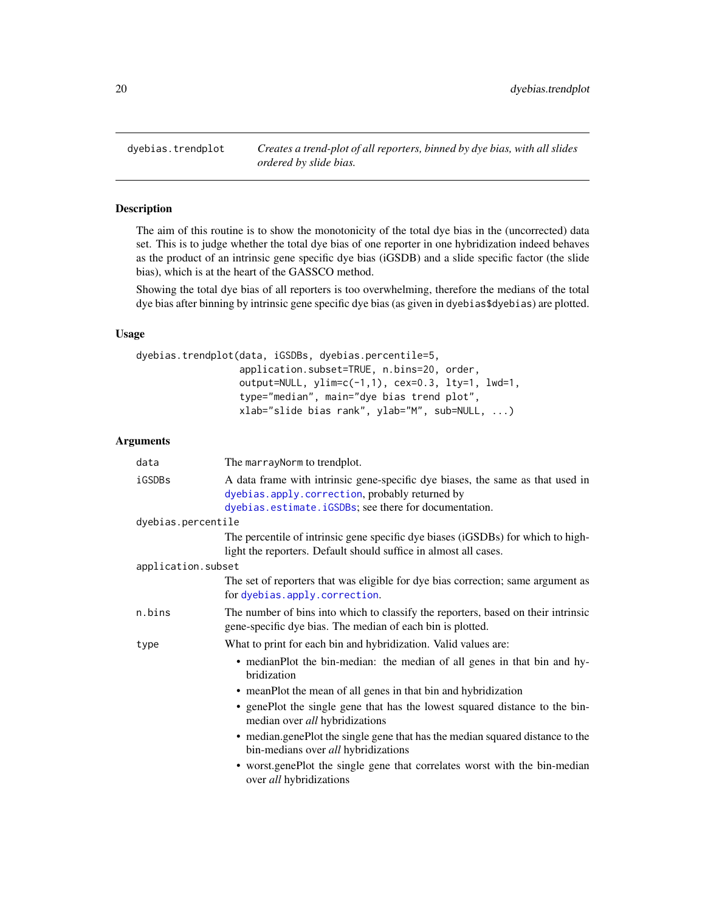<span id="page-19-1"></span><span id="page-19-0"></span>dyebias.trendplot *Creates a trend-plot of all reporters, binned by dye bias, with all slides ordered by slide bias.*

# Description

The aim of this routine is to show the monotonicity of the total dye bias in the (uncorrected) data set. This is to judge whether the total dye bias of one reporter in one hybridization indeed behaves as the product of an intrinsic gene specific dye bias (iGSDB) and a slide specific factor (the slide bias), which is at the heart of the GASSCO method.

Showing the total dye bias of all reporters is too overwhelming, therefore the medians of the total dye bias after binning by intrinsic gene specific dye bias (as given in dyebias\$dyebias) are plotted.

# Usage

```
dyebias.trendplot(data, iGSDBs, dyebias.percentile=5,
                  application.subset=TRUE, n.bins=20, order,
                  output=NULL, ylim=c(-1,1), cex=0.3, lty=1, lwd=1,
                  type="median", main="dye bias trend plot",
                  xlab="slide bias rank", ylab="M", sub=NULL, ...)
```
# Arguments

| data               | The marrayNorm to trendplot.                                                                                                                                                              |
|--------------------|-------------------------------------------------------------------------------------------------------------------------------------------------------------------------------------------|
| iGSDBs             | A data frame with intrinsic gene-specific dye biases, the same as that used in<br>dyebias.apply.correction, probably returned by<br>dyebias.estimate.iGSDBs; see there for documentation. |
| dyebias.percentile |                                                                                                                                                                                           |
|                    | The percentile of intrinsic gene specific dye biases (iGSDBs) for which to high-<br>light the reporters. Default should suffice in almost all cases.                                      |
| application.subset |                                                                                                                                                                                           |
|                    | The set of reporters that was eligible for dye bias correction; same argument as<br>for dyebias.apply.correction.                                                                         |
| n.bins             | The number of bins into which to classify the reporters, based on their intrinsic<br>gene-specific dye bias. The median of each bin is plotted.                                           |
| type               | What to print for each bin and hybridization. Valid values are:                                                                                                                           |
|                    | • medianPlot the bin-median: the median of all genes in that bin and hy-<br>bridization                                                                                                   |
|                    | • meanPlot the mean of all genes in that bin and hybridization                                                                                                                            |
|                    | • genePlot the single gene that has the lowest squared distance to the bin-<br>median over all hybridizations                                                                             |
|                    | • median.genePlot the single gene that has the median squared distance to the<br>bin-medians over all hybridizations                                                                      |
|                    | • worst genePlot the single gene that correlates worst with the bin-median<br>over all hybridizations                                                                                     |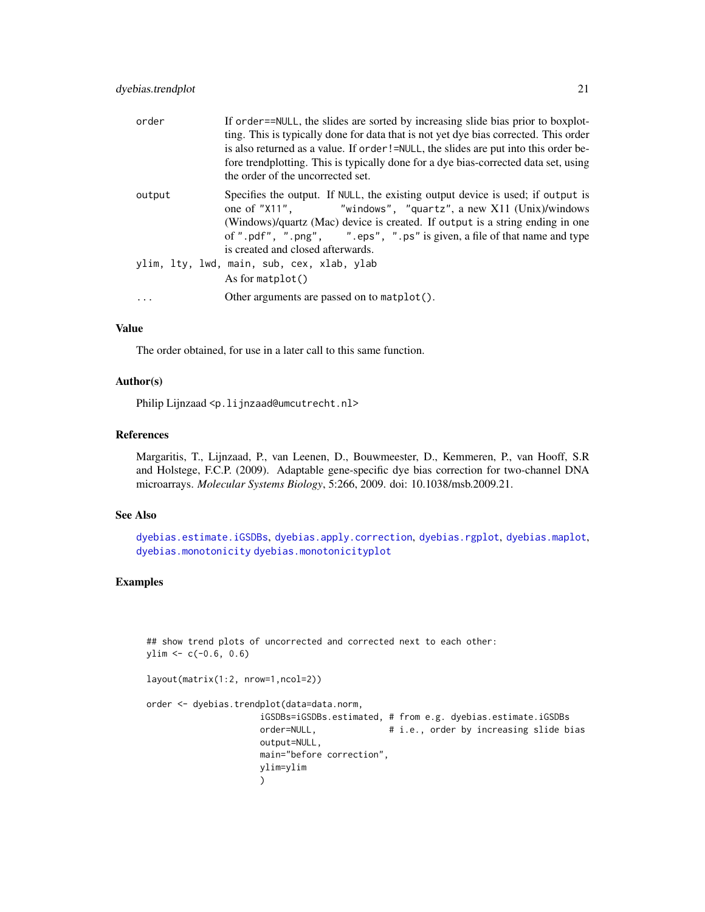| order  | If order==NULL, the slides are sorted by increasing slide bias prior to boxplot-<br>ting. This is typically done for data that is not yet dye bias corrected. This order<br>is also returned as a value. If order!=NULL, the slides are put into this order be-<br>fore trendplotting. This is typically done for a dye bias-corrected data set, using<br>the order of the uncorrected set. |
|--------|---------------------------------------------------------------------------------------------------------------------------------------------------------------------------------------------------------------------------------------------------------------------------------------------------------------------------------------------------------------------------------------------|
| output | Specifies the output. If NULL, the existing output device is used; if output is<br>one of "X11", "windows", "quartz", a new X11 (Unix)/windows<br>(Windows)/quartz (Mac) device is created. If output is a string ending in one<br>of ".pdf", ".png", ".eps", ".ps" is given, a file of that name and type<br>is created and closed afterwards.                                             |
|        | ylim, lty, lwd, main, sub, cex, xlab, ylab<br>As for matplot()                                                                                                                                                                                                                                                                                                                              |
|        | Other arguments are passed on to $\mathsf{match}()$ .                                                                                                                                                                                                                                                                                                                                       |

# Value

The order obtained, for use in a later call to this same function.

# Author(s)

Philip Lijnzaad <p.lijnzaad@umcutrecht.nl>

# References

Margaritis, T., Lijnzaad, P., van Leenen, D., Bouwmeester, D., Kemmeren, P., van Hooff, S.R and Holstege, F.C.P. (2009). Adaptable gene-specific dye bias correction for two-channel DNA microarrays. *Molecular Systems Biology*, 5:266, 2009. doi: 10.1038/msb.2009.21.

# See Also

[dyebias.estimate.iGSDBs](#page-8-1), [dyebias.apply.correction](#page-3-1), [dyebias.rgplot](#page-16-1), [dyebias.maplot](#page-16-2), [dyebias.monotonicity](#page-11-1) [dyebias.monotonicityplot](#page-14-1)

## show trend plots of uncorrected and corrected next to each other:

# Examples

```
ylim < -c(-0.6, 0.6)layout(matrix(1:2, nrow=1,ncol=2))
order <- dyebias.trendplot(data=data.norm,
                      iGSDBs=iGSDBs.estimated, # from e.g. dyebias.estimate.iGSDBs
                      order=NULL, \qquad \qquad # i.e., order by increasing slide biasoutput=NULL,
                      main="before correction",
                      ylim=ylim
                      \mathcal{L}
```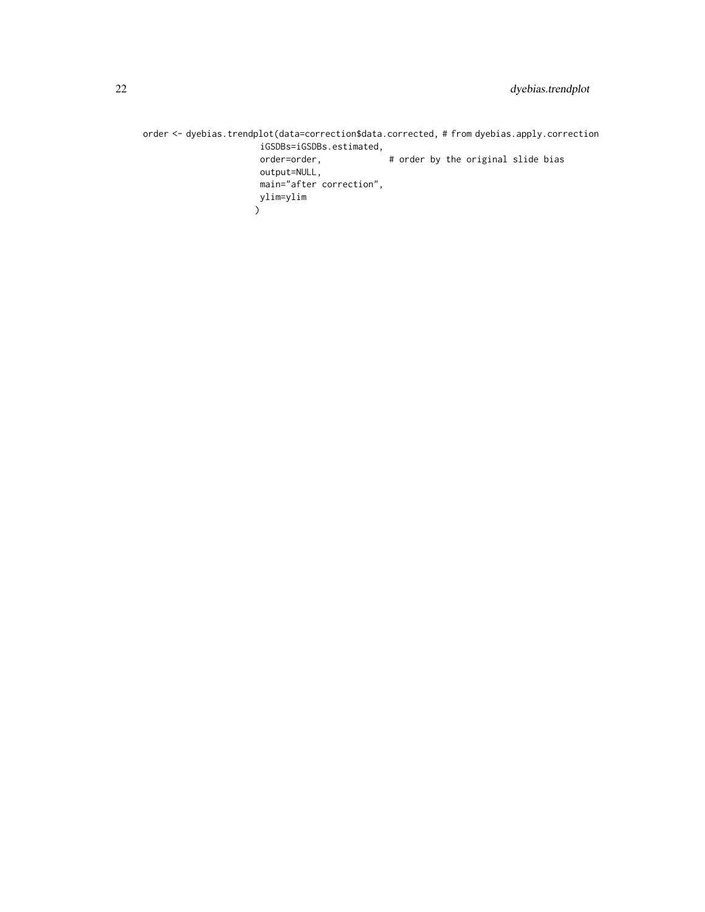order <- dyebias.trendplot(data=correction\$data.corrected, # from dyebias.apply.correction iGSDBs=iGSDBs.estimated, # order by the original slide bias output=NULL, main="after correction", ylim=ylim  $\mathcal{L}$